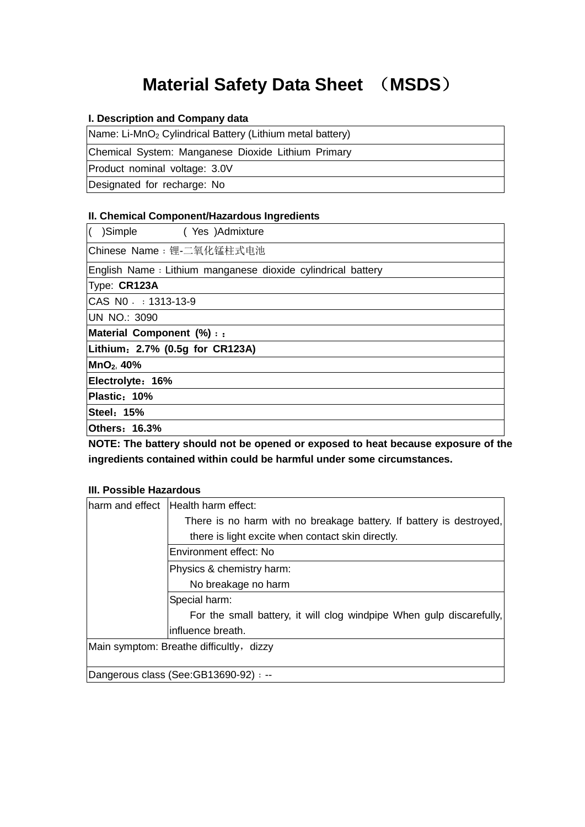# **Material Safety Data Sheet** (**MSDS**)

#### **I. Description and Company data**

Name: Li-MnO<sub>2</sub> Cylindrical Battery (Lithium metal battery)

Chemical System: Manganese Dioxide Lithium Primary

Product nominal voltage: 3.0V

Designated for recharge: No

#### **II. Chemical Component/Hazardous Ingredients**

| K<br>)Simple (Yes )Admixture                                 |
|--------------------------------------------------------------|
| Chinese Name: 锂-二氧化锰柱式电池                                     |
| English Name : Lithium manganese dioxide cylindrical battery |
| Type: CR123A                                                 |
| CAS N0 :: 1313-13-9                                          |
| UN NO.: 3090                                                 |
| Material Component (%) : :                                   |
| Lithium: 2.7% (0.5g for CR123A)                              |
| MnO <sub>2</sub> , 40%                                       |
| Electrolyte: 16%                                             |
| Plastic: 10%                                                 |
| Steel: 15%                                                   |
| <b>Others: 16.3%</b>                                         |

 **NOTE: The battery should not be opened or exposed to heat because exposure of the**  ingredients contained within could be harmful under some circumstances.<br>III. Possible Hazardous

| Iharm and effect Health harm effect:                                 |
|----------------------------------------------------------------------|
| There is no harm with no breakage battery. If battery is destroyed,  |
| there is light excite when contact skin directly.                    |
| Environment effect: No                                               |
| Physics & chemistry harm:                                            |
| No breakage no harm                                                  |
| Special harm:                                                        |
| For the small battery, it will clog windpipe When gulp discarefully, |
| influence breath.                                                    |
| Main symptom: Breathe difficultly, dizzy                             |
|                                                                      |
| Dangerous class (See:GB13690-92) : --                                |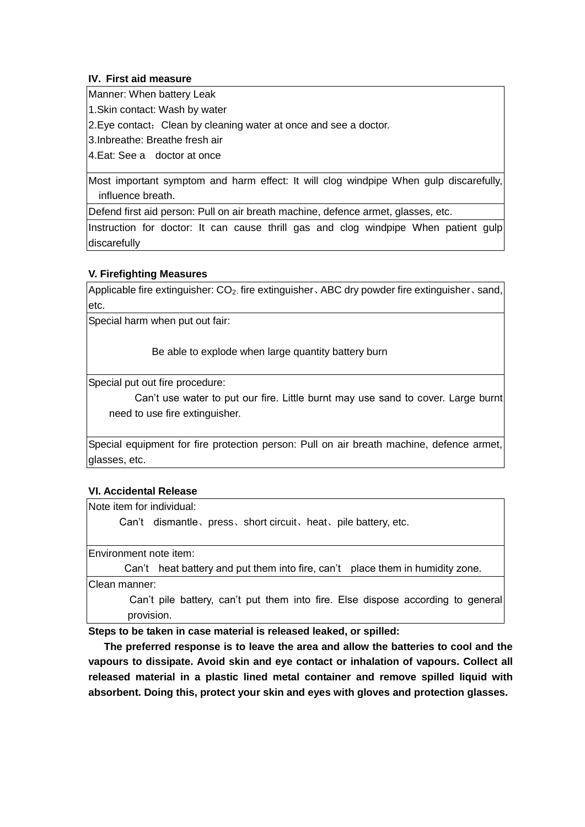### **IV. First aid measure**

Manner: When battery Leak

1.Skin contact: Wash by water

2. Eye contact: Clean by cleaning water at once and see a doctor.

3.Inbreathe: Breathe fresh air

4.Eat: See a doctor at once

 Most important symptom and harm effect: It will clog windpipe When gulp discarefully, influence breath.

Defend first aid person: Pull on air breath machine, defence armet, glasses, etc.

 Instruction for doctor: It can cause thrill gas and clog windpipe When patient gulp discarefully

#### **V. Firefighting Measures**

Applicable fire extinguisher:  $CO<sub>2</sub>$  fire extinguisher, ABC dry powder fire extinguisher, sand, etc.

Special harm when put out fair:

Be able to explode when large quantity battery burn

Special put out fire procedure:

Can't use water to put our fire. Little burnt may use sand to cover. Large burnt need to use fire extinguisher.

 Special equipment for fire protection person: Pull on air breath machine, defence armet, glasses, etc.

#### **VI. Accidental Release**

Note item for individual:

Can't dismantle、press、short circuit、heat、pile battery, etc.

Environment note item:

Can't heat battery and put them into fire, can't place them in humidity zone.

Clean manner:

Can't pile battery, can't put them into fire. Else dispose according to general provision.

**Steps to be taken in case material is released leaked, or spilled:** 

 **vapours to dissipate. Avoid skin and eye contact or inhalation of vapours. Collect all released material in a plastic lined metal container and remove spilled liquid with absorbent. Doing this, protect your skin and eyes with gloves and protection glasses. The preferred response is to leave the area and allow the batteries to cool and the**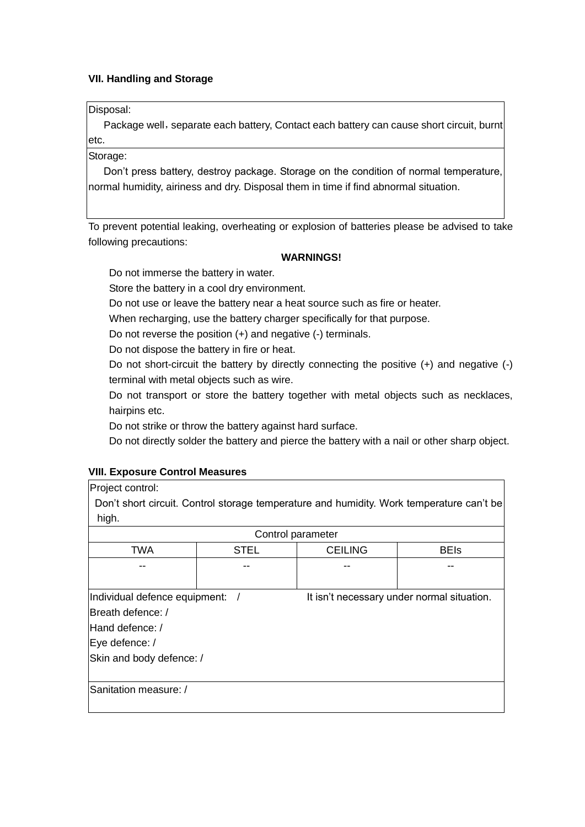### **VII. Handling and Storage**

Disposal:

Package well, separate each battery, Contact each battery can cause short circuit, burnt etc.

Storage:

 normal humidity, airiness and dry. Disposal them in time if find abnormal situation. Don't press battery, destroy package. Storage on the condition of normal temperature,

 To prevent potential leaking, overheating or explosion of batteries please be advised to take following precautions:

## **WARNINGS!**

Do not immerse the battery in water.

Store the battery in a cool dry environment.

Do not use or leave the battery near a heat source such as fire or heater.

When recharging, use the battery charger specifically for that purpose.

Do not reverse the position (+) and negative (-) terminals.

Do not dispose the battery in fire or heat.

 terminal with metal objects such as wire. Do not short-circuit the battery by directly connecting the positive (+) and negative (-)

 Do not transport or store the battery together with metal objects such as necklaces, hairpins etc.

Do not strike or throw the battery against hard surface.

Do not directly solder the battery and pierce the battery with a nail or other sharp object.

#### **VIII. Exposure Control Measures**

Project control:

 Don't short circuit. Control storage temperature and humidity. Work temperature can't be high.

| Control parameter               |             |                                            |             |
|---------------------------------|-------------|--------------------------------------------|-------------|
| <b>TWA</b>                      | <b>STEL</b> | <b>CEILING</b>                             | <b>BEIs</b> |
|                                 |             |                                            |             |
|                                 |             |                                            |             |
| Individual defence equipment: / |             | It isn't necessary under normal situation. |             |
| Breath defence: /               |             |                                            |             |
| Hand defence: /                 |             |                                            |             |
| Eye defence: /                  |             |                                            |             |
| Skin and body defence: /        |             |                                            |             |
|                                 |             |                                            |             |
| Sanitation measure: /           |             |                                            |             |
|                                 |             |                                            |             |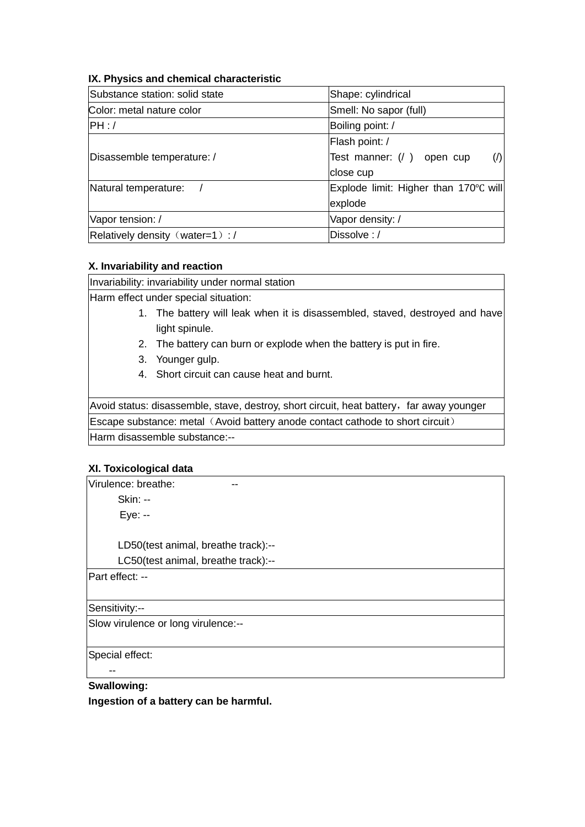#### **IX. Physics and chemical characteristic**

| Substance station: solid state   | Shape: cylindrical                    |
|----------------------------------|---------------------------------------|
| Color: metal nature color        | Smell: No sapor (full)                |
| PH:                              | Boiling point: /                      |
|                                  | Flash point: /                        |
| Disassemble temperature: /       | Test manner: (/ ) open cup            |
|                                  | close cup                             |
| Natural temperature:             | Explode limit: Higher than 170°C will |
|                                  | explode                               |
| Vapor tension: /                 | Vapor density: /                      |
| Relatively density (water=1) : / | Dissolve:/                            |

#### **X. Invariability and reaction**

Invariability: invariability under normal station

Harm effect under special situation:

- 1. The battery will leak when it is disassembled, staved, destroyed and have light spinule.
- 2. The battery can burn or explode when the battery is put in fire.
- 3. Younger gulp.
- 4. Short circuit can cause heat and burnt.

Avoid status: disassemble, stave, destroy, short circuit, heat battery, far away younger Escape substance: metal (Avoid battery anode contact cathode to short circuit) Harm disassemble substance:--

#### **XI. Toxicological data**

| Virulence: breathe:                 |
|-------------------------------------|
| <b>Skin: --</b>                     |
| Eye: --                             |
|                                     |
| LD50(test animal, breathe track):-- |
| LC50(test animal, breathe track):-- |
| Part effect: --                     |
|                                     |
| Sensitivity:--                      |
| Slow virulence or long virulence:-- |
|                                     |
| Special effect:                     |
|                                     |
|                                     |

 **Swallowing: Ingestion of a battery can be harmful.**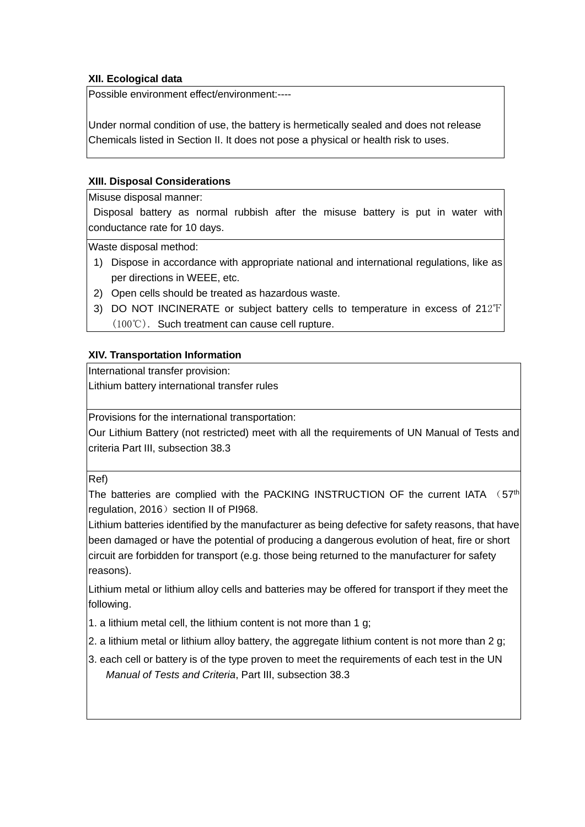# **XII. Ecological data**

Possible environment effect/environment:----

 Under normal condition of use, the battery is hermetically sealed and does not release Chemicals listed in Section II. It does not pose a physical or health risk to uses.

### **XIII. Disposal Considerations**

Misuse disposal manner:

 Disposal battery as normal rubbish after the misuse battery is put in water with conductance rate for 10 days.

Waste disposal method:

- 1) Dispose in accordance with appropriate national and international regulations, like as per directions in WEEE, etc.
- 2) Open cells should be treated as hazardous waste.
- 3) DO NOT INCINERATE or subject battery cells to temperature in excess of 212℉ (100℃). Such treatment can cause cell rupture.

#### **XIV. Transportation Information**

International transfer provision:

Lithium battery international transfer rules

Provisions for the international transportation:

 Our Lithium Battery (not restricted) meet with all the requirements of UN Manual of Tests and criteria Part III, subsection 38.3

Ref)

The batteries are complied with the PACKING INSTRUCTION OF the current IATA  $(57<sup>th</sup>]$ regulation, 2016) section II of PI968.

 Lithium batteries identified by the manufacturer as being defective for safety reasons, that have been damaged or have the potential of producing a dangerous evolution of heat, fire or short circuit are forbidden for transport (e.g. those being returned to the manufacturer for safety reasons).

 Lithium metal or lithium alloy cells and batteries may be offered for transport if they meet the following.

1. a lithium metal cell, the lithium content is not more than 1 g;

2. a lithium metal or lithium alloy battery, the aggregate lithium content is not more than 2 g;

 3. each cell or battery is of the type proven to meet the requirements of each test in the UN  *Manual of Tests and Criteria*, Part III, subsection 38.3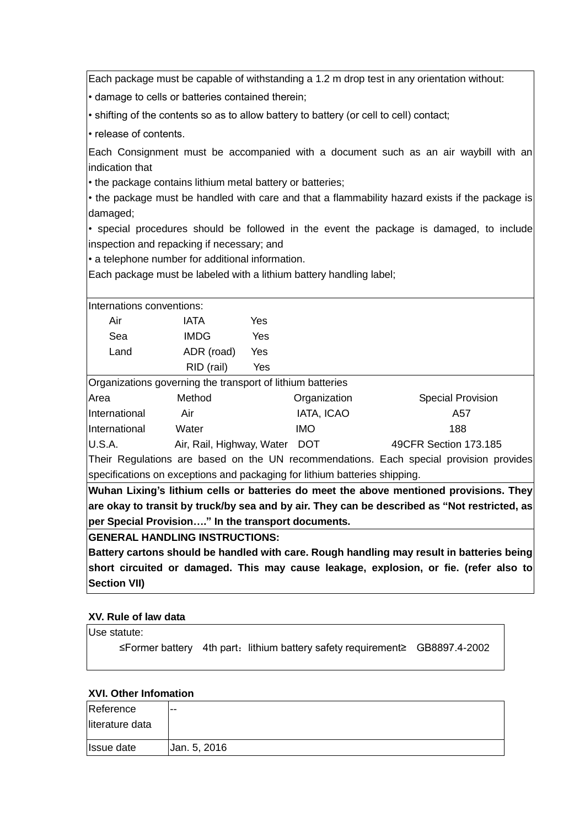Each package must be capable of withstanding a 1.2 m drop test in any orientation without:

• damage to cells or batteries contained therein;

• shifting of the contents so as to allow battery to battery (or cell to cell) contact;

• release of contents.

Each Consignment must be accompanied with a document such as an air waybill with an indication that

• the package contains lithium metal battery or batteries;

• the package must be handled with care and that a flammability hazard exists if the package is damaged;

 inspection and repacking if necessary; and • special procedures should be followed in the event the package is damaged, to include

• a telephone number for additional information.

Each package must be labeled with a lithium battery handling label;

| Internations conventions: |             |     |  |
|---------------------------|-------------|-----|--|
| Air                       | <b>IATA</b> | Yes |  |
| Sea                       | <b>IMDG</b> | Yes |  |
| Land                      | ADR (road)  | Yes |  |
|                           | RID (rail)  | Yes |  |

Organizations governing the transport of lithium batteries

| Area                 | Method                        | Organization | <b>Special Provision</b> |
|----------------------|-------------------------------|--------------|--------------------------|
| International        | Air                           | IATA, ICAO   | A57                      |
| <i>International</i> | Water                         | IMO.         | 188                      |
| U.S.A.               | Air, Rail, Highway, Water DOT |              | 49CFR Section 173.185    |

Their Regulations are based on the UN recommendations. Each special provision provides specifications on exceptions and packaging for lithium batteries shipping.

 **Wuhan Lixing's lithium cells or batteries do meet the above mentioned provisions. They are okay to transit by truck/by sea and by air. They can be described as "Not restricted, as per Special Provision…." In the transport documents.** 

**GENERAL HANDLING INSTRUCTIONS:** 

Battery cartons should be handled with care. Rough handling may result in batteries being  **short circuited or damaged. This may cause leakage, explosion, or fie. (refer also to Section VII)** 

# **XV. Rule of law data**

| Use statute: |                                                                             |  |
|--------------|-----------------------------------------------------------------------------|--|
|              | ≤Former battery 4th part: lithium battery safety requirement≥ GB8897.4-2002 |  |
|              |                                                                             |  |

# **XVI. Other Infomation**

| Reference         | $- -$        |
|-------------------|--------------|
| literature data   |              |
| <b>Issue date</b> | Jan. 5, 2016 |